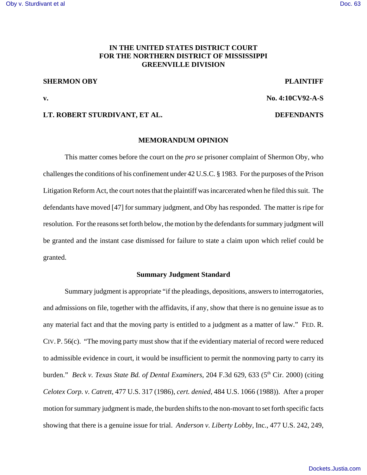# **IN THE UNITED STATES DISTRICT COURT FOR THE NORTHERN DISTRICT OF MISSISSIPPI GREENVILLE DIVISION**

# **SHERMON OBY PLAINTIFF**

**v. No. 4:10CV92-A-S**

## **LT. ROBERT STURDIVANT, ET AL. DEFENDANTS**

# **MEMORANDUM OPINION**

This matter comes before the court on the *pro se* prisoner complaint of Shermon Oby, who challenges the conditions of his confinement under 42 U.S.C. § 1983. For the purposes of the Prison Litigation Reform Act, the court notes that the plaintiff was incarcerated when he filed this suit. The defendants have moved [47] for summary judgment, and Oby has responded. The matter is ripe for resolution. For the reasons set forth below, the motion by the defendants for summary judgment will be granted and the instant case dismissed for failure to state a claim upon which relief could be granted.

# **Summary Judgment Standard**

Summary judgment is appropriate "if the pleadings, depositions, answers to interrogatories, and admissions on file, together with the affidavits, if any, show that there is no genuine issue as to any material fact and that the moving party is entitled to a judgment as a matter of law." FED. R. CIV. P. 56(c). "The moving party must show that if the evidentiary material of record were reduced to admissible evidence in court, it would be insufficient to permit the nonmoving party to carry its burden." *Beck v. Texas State Bd. of Dental Examiners*, 204 F.3d 629, 633 (5<sup>th</sup> Cir. 2000) (citing *Celotex Corp. v. Catrett*, 477 U.S. 317 (1986), *cert. denied*, 484 U.S. 1066 (1988)). After a proper motion for summary judgment is made, the burden shifts to the non-movant to set forth specific facts showing that there is a genuine issue for trial. *Anderson v. Liberty Lobby,* Inc., 477 U.S. 242, 249,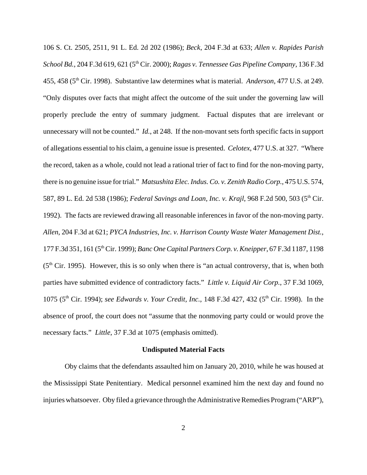106 S. Ct. 2505, 2511, 91 L. Ed. 2d 202 (1986); *Beck*, 204 F.3d at 633; *Allen v. Rapides Parish* School Bd., 204 F.3d 619, 621 (5<sup>th</sup> Cir. 2000); *Ragas v. Tennessee Gas Pipeline Company*, 136 F.3d 455, 458 (5th Cir. 1998). Substantive law determines what is material. *Anderson*, 477 U.S. at 249. "Only disputes over facts that might affect the outcome of the suit under the governing law will properly preclude the entry of summary judgment. Factual disputes that are irrelevant or unnecessary will not be counted." *Id.*, at 248. If the non-movant sets forth specific facts in support of allegations essential to his claim, a genuine issue is presented. *Celotex*, 477 U.S. at 327. "Where the record, taken as a whole, could not lead a rational trier of fact to find for the non-moving party, there is no genuine issue for trial." *Matsushita Elec. Indus. Co. v. Zenith Radio Corp.*, 475 U.S. 574, 587, 89 L. Ed. 2d 538 (1986); *Federal Savings and Loan, Inc. v. Krajl*, 968 F.2d 500, 503 (5<sup>th</sup> Cir. 1992). The facts are reviewed drawing all reasonable inferences in favor of the non-moving party. *Allen*, 204 F.3d at 621; *PYCA Industries, Inc. v. Harrison County Waste Water Management Dist.*, 177 F.3d 351, 161 (5th Cir. 1999); *Banc One Capital Partners Corp. v. Kneipper*, 67 F.3d 1187, 1198  $(5<sup>th</sup> Cir. 1995)$ . However, this is so only when there is "an actual controversy, that is, when both parties have submitted evidence of contradictory facts." *Little v. Liquid Air Corp.*, 37 F.3d 1069, 1075 (5th Cir. 1994); *see Edwards v. Your Credit, Inc.*, 148 F.3d 427, 432 (5th Cir. 1998). In the absence of proof, the court does not "assume that the nonmoving party could or would prove the necessary facts." *Little*, 37 F.3d at 1075 (emphasis omitted).

## **Undisputed Material Facts**

Oby claims that the defendants assaulted him on January 20, 2010, while he was housed at the Mississippi State Penitentiary. Medical personnel examined him the next day and found no injuries whatsoever. Oby filed a grievance through the Administrative Remedies Program ("ARP"),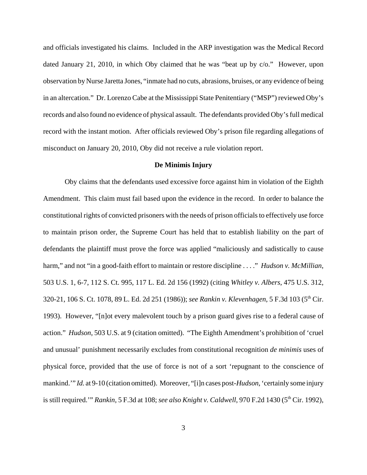and officials investigated his claims. Included in the ARP investigation was the Medical Record dated January 21, 2010, in which Oby claimed that he was "beat up by c/o." However, upon observation by Nurse Jaretta Jones, "inmate had no cuts, abrasions, bruises, or any evidence of being in an altercation." Dr. Lorenzo Cabe at the Mississippi State Penitentiary ("MSP") reviewed Oby's records and also found no evidence of physical assault. The defendants provided Oby's full medical record with the instant motion. After officials reviewed Oby's prison file regarding allegations of misconduct on January 20, 2010, Oby did not receive a rule violation report.

## **De Minimis Injury**

Oby claims that the defendants used excessive force against him in violation of the Eighth Amendment. This claim must fail based upon the evidence in the record. In order to balance the constitutional rights of convicted prisoners with the needs of prison officials to effectively use force to maintain prison order, the Supreme Court has held that to establish liability on the part of defendants the plaintiff must prove the force was applied "maliciously and sadistically to cause harm," and not "in a good-faith effort to maintain or restore discipline . . . ." *Hudson v. McMillian*, 503 U.S. 1, 6-7, 112 S. Ct. 995, 117 L. Ed. 2d 156 (1992) (citing *Whitley v. Albers*, 475 U.S. 312, 320-21, 106 S. Ct. 1078, 89 L. Ed. 2d 251 (1986)); *see Rankin v. Klevenhagen*, 5 F.3d 103 (5<sup>th</sup> Cir. 1993). However, "[n]ot every malevolent touch by a prison guard gives rise to a federal cause of action." *Hudson*, 503 U.S. at 9 (citation omitted). "The Eighth Amendment's prohibition of 'cruel and unusual' punishment necessarily excludes from constitutional recognition *de minimis* uses of physical force, provided that the use of force is not of a sort 'repugnant to the conscience of mankind.'" *Id.* at 9-10 (citation omitted). Moreover, "[i]n cases post-*Hudson*, 'certainly some injury is still required." *Rankin*, 5 F.3d at 108; *see also Knight v. Caldwell*, 970 F.2d 1430 (5<sup>th</sup> Cir. 1992),